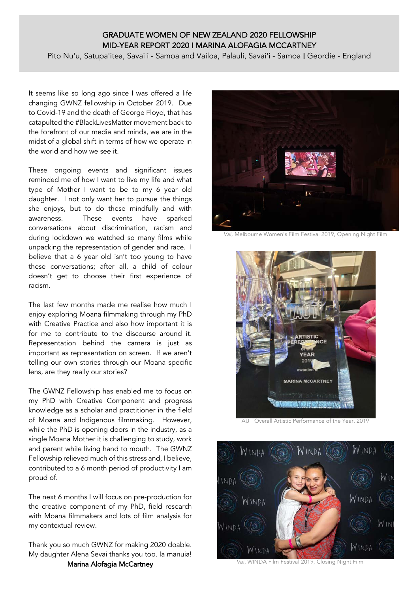## GRADUATE WOMEN OF NEW ZEALAND 2020 FELLOWSHIP MID-YEAR REPORT 2020 I MARINA ALOFAGIA MCCARTNEY

Pito Nu'u, Satupa'itea, Savai'i - Samoa and Vailoa, Palauli, Savai'i - Samoa I Geordie - England

It seems like so long ago since I was offered a life changing GWNZ fellowship in October 2019. Due to Covid-19 and the death of George Floyd, that has catapulted the #BlackLivesMatter movement back to the forefront of our media and minds, we are in the midst of a global shift in terms of how we operate in the world and how we see it.

These ongoing events and significant issues reminded me of how I want to live my life and what type of Mother I want to be to my 6 year old daughter. I not only want her to pursue the things she enjoys, but to do these mindfully and with awareness. These events have sparked conversations about discrimination, racism and during lockdown we watched so many films while unpacking the representation of gender and race. I believe that a 6 year old isn't too young to have these conversations; after all, a child of colour doesn't get to choose their first experience of racism.

The last few months made me realise how much I enjoy exploring Moana filmmaking through my PhD with Creative Practice and also how important it is for me to contribute to the discourse around it. Representation behind the camera is just as important as representation on screen. If we aren't telling our own stories through our Moana specific lens, are they really our stories?

The GWNZ Fellowship has enabled me to focus on my PhD with Creative Component and progress knowledge as a scholar and practitioner in the field of Moana and Indigenous filmmaking. However, while the PhD is opening doors in the industry, as a single Moana Mother it is challenging to study, work and parent while living hand to mouth. The GWNZ Fellowship relieved much of this stress and, I believe, contributed to a 6 month period of productivity I am proud of.

The next 6 months I will focus on pre-production for the creative component of my PhD, field research with Moana filmmakers and lots of film analysis for my contextual review.

Thank you so much GWNZ for making 2020 doable. My daughter Alena Sevai thanks you too. Ia manuia! Marina Alofagia McCartney



*Vai*, Melbourne Women's Film Festival 2019, Opening Night Film



AUT Overall Artistic Performance of the Year, 2019



*Vai*, WINDA Film Festival 2019, Closing Night Film